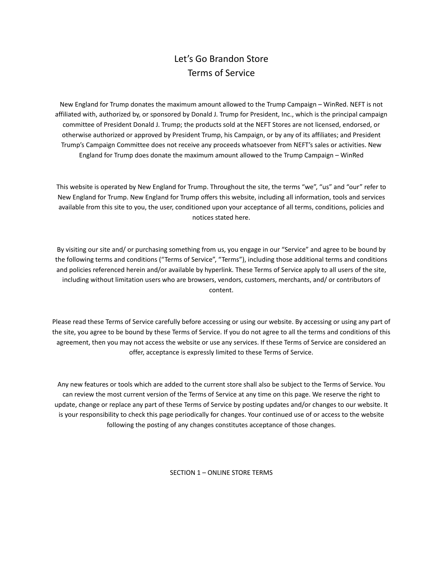# Let's Go Brandon Store Terms of Service

New England for Trump donates the maximum amount allowed to the Trump Campaign – WinRed. NEFT is not affiliated with, authorized by, or sponsored by Donald J. Trump for President, Inc., which is the principal campaign committee of President Donald J. Trump; the products sold at the NEFT Stores are not licensed, endorsed, or otherwise authorized or approved by President Trump, his Campaign, or by any of its affiliates; and President Trump's Campaign Committee does not receive any proceeds whatsoever from NEFT's sales or activities. New England for Trump does donate the maximum amount allowed to the Trump Campaign – WinRed

This website is operated by New England for Trump. Throughout the site, the terms "we", "us" and "our" refer to New England for Trump. New England for Trump offers this website, including all information, tools and services available from this site to you, the user, conditioned upon your acceptance of all terms, conditions, policies and notices stated here.

By visiting our site and/ or purchasing something from us, you engage in our "Service" and agree to be bound by the following terms and conditions ("Terms of Service", "Terms"), including those additional terms and conditions and policies referenced herein and/or available by hyperlink. These Terms of Service apply to all users of the site, including without limitation users who are browsers, vendors, customers, merchants, and/ or contributors of content.

Please read these Terms of Service carefully before accessing or using our website. By accessing or using any part of the site, you agree to be bound by these Terms of Service. If you do not agree to all the terms and conditions of this agreement, then you may not access the website or use any services. If these Terms of Service are considered an offer, acceptance is expressly limited to these Terms of Service.

Any new features or tools which are added to the current store shall also be subject to the Terms of Service. You can review the most current version of the Terms of Service at any time on this page. We reserve the right to update, change or replace any part of these Terms of Service by posting updates and/or changes to our website. It is your responsibility to check this page periodically for changes. Your continued use of or access to the website following the posting of any changes constitutes acceptance of those changes.

SECTION 1 – ONLINE STORE TERMS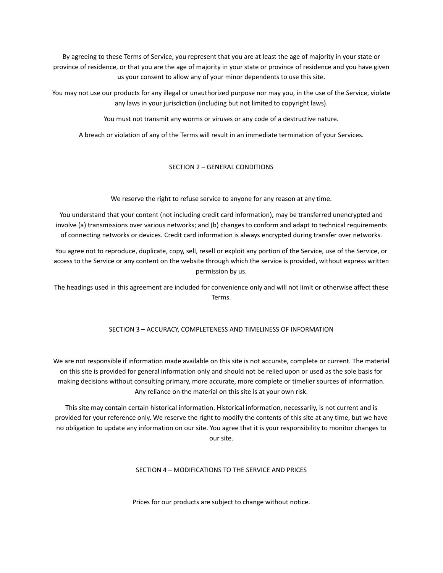By agreeing to these Terms of Service, you represent that you are at least the age of majority in your state or province of residence, or that you are the age of majority in your state or province of residence and you have given us your consent to allow any of your minor dependents to use this site.

You may not use our products for any illegal or unauthorized purpose nor may you, in the use of the Service, violate any laws in your jurisdiction (including but not limited to copyright laws).

You must not transmit any worms or viruses or any code of a destructive nature.

A breach or violation of any of the Terms will result in an immediate termination of your Services.

# SECTION 2 – GENERAL CONDITIONS

We reserve the right to refuse service to anyone for any reason at any time.

You understand that your content (not including credit card information), may be transferred unencrypted and involve (a) transmissions over various networks; and (b) changes to conform and adapt to technical requirements of connecting networks or devices. Credit card information is always encrypted during transfer over networks.

You agree not to reproduce, duplicate, copy, sell, resell or exploit any portion of the Service, use of the Service, or access to the Service or any content on the website through which the service is provided, without express written permission by us.

The headings used in this agreement are included for convenience only and will not limit or otherwise affect these Terms.

## SECTION 3 – ACCURACY, COMPLETENESS AND TIMELINESS OF INFORMATION

We are not responsible if information made available on this site is not accurate, complete or current. The material on this site is provided for general information only and should not be relied upon or used as the sole basis for making decisions without consulting primary, more accurate, more complete or timelier sources of information. Any reliance on the material on this site is at your own risk.

This site may contain certain historical information. Historical information, necessarily, is not current and is provided for your reference only. We reserve the right to modify the contents of this site at any time, but we have no obligation to update any information on our site. You agree that it is your responsibility to monitor changes to our site.

## SECTION 4 – MODIFICATIONS TO THE SERVICE AND PRICES

Prices for our products are subject to change without notice.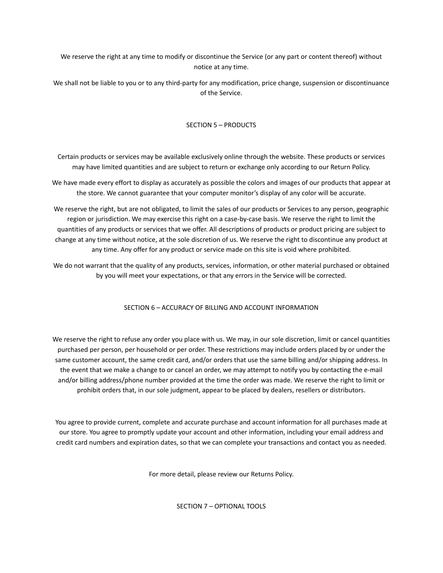We reserve the right at any time to modify or discontinue the Service (or any part or content thereof) without notice at any time.

We shall not be liable to you or to any third-party for any modification, price change, suspension or discontinuance of the Service.

# SECTION 5 – PRODUCTS

Certain products or services may be available exclusively online through the website. These products or services may have limited quantities and are subject to return or exchange only according to our Return Policy.

We have made every effort to display as accurately as possible the colors and images of our products that appear at the store. We cannot guarantee that your computer monitor's display of any color will be accurate.

We reserve the right, but are not obligated, to limit the sales of our products or Services to any person, geographic region or jurisdiction. We may exercise this right on a case-by-case basis. We reserve the right to limit the quantities of any products or services that we offer. All descriptions of products or product pricing are subject to change at any time without notice, at the sole discretion of us. We reserve the right to discontinue any product at any time. Any offer for any product or service made on this site is void where prohibited.

We do not warrant that the quality of any products, services, information, or other material purchased or obtained by you will meet your expectations, or that any errors in the Service will be corrected.

# SECTION 6 – ACCURACY OF BILLING AND ACCOUNT INFORMATION

We reserve the right to refuse any order you place with us. We may, in our sole discretion, limit or cancel quantities purchased per person, per household or per order. These restrictions may include orders placed by or under the same customer account, the same credit card, and/or orders that use the same billing and/or shipping address. In the event that we make a change to or cancel an order, we may attempt to notify you by contacting the e-mail and/or billing address/phone number provided at the time the order was made. We reserve the right to limit or prohibit orders that, in our sole judgment, appear to be placed by dealers, resellers or distributors.

You agree to provide current, complete and accurate purchase and account information for all purchases made at our store. You agree to promptly update your account and other information, including your email address and credit card numbers and expiration dates, so that we can complete your transactions and contact you as needed.

For more detail, please review our Returns Policy.

SECTION 7 – OPTIONAL TOOLS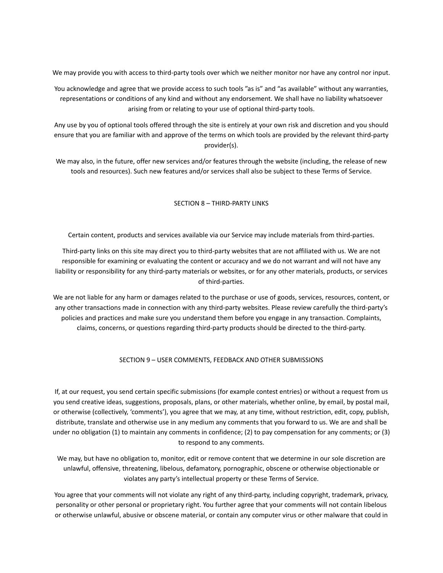We may provide you with access to third-party tools over which we neither monitor nor have any control nor input.

You acknowledge and agree that we provide access to such tools "as is" and "as available" without any warranties, representations or conditions of any kind and without any endorsement. We shall have no liability whatsoever arising from or relating to your use of optional third-party tools.

Any use by you of optional tools offered through the site is entirely at your own risk and discretion and you should ensure that you are familiar with and approve of the terms on which tools are provided by the relevant third-party provider(s).

We may also, in the future, offer new services and/or features through the website (including, the release of new tools and resources). Such new features and/or services shall also be subject to these Terms of Service.

## SECTION 8 – THIRD-PARTY LINKS

Certain content, products and services available via our Service may include materials from third-parties.

Third-party links on this site may direct you to third-party websites that are not affiliated with us. We are not responsible for examining or evaluating the content or accuracy and we do not warrant and will not have any liability or responsibility for any third-party materials or websites, or for any other materials, products, or services of third-parties.

We are not liable for any harm or damages related to the purchase or use of goods, services, resources, content, or any other transactions made in connection with any third-party websites. Please review carefully the third-party's policies and practices and make sure you understand them before you engage in any transaction. Complaints, claims, concerns, or questions regarding third-party products should be directed to the third-party.

## SECTION 9 – USER COMMENTS, FEEDBACK AND OTHER SUBMISSIONS

If, at our request, you send certain specific submissions (for example contest entries) or without a request from us you send creative ideas, suggestions, proposals, plans, or other materials, whether online, by email, by postal mail, or otherwise (collectively, 'comments'), you agree that we may, at any time, without restriction, edit, copy, publish, distribute, translate and otherwise use in any medium any comments that you forward to us. We are and shall be under no obligation (1) to maintain any comments in confidence; (2) to pay compensation for any comments; or (3) to respond to any comments.

We may, but have no obligation to, monitor, edit or remove content that we determine in our sole discretion are unlawful, offensive, threatening, libelous, defamatory, pornographic, obscene or otherwise objectionable or violates any party's intellectual property or these Terms of Service.

You agree that your comments will not violate any right of any third-party, including copyright, trademark, privacy, personality or other personal or proprietary right. You further agree that your comments will not contain libelous or otherwise unlawful, abusive or obscene material, or contain any computer virus or other malware that could in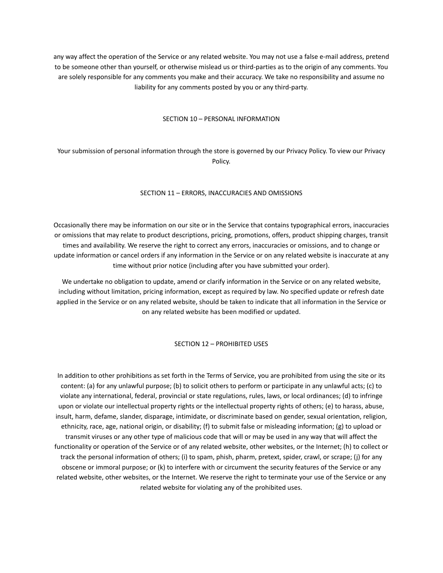any way affect the operation of the Service or any related website. You may not use a false e-mail address, pretend to be someone other than yourself, or otherwise mislead us or third-parties as to the origin of any comments. You are solely responsible for any comments you make and their accuracy. We take no responsibility and assume no liability for any comments posted by you or any third-party.

## SECTION 10 – PERSONAL INFORMATION

# Your submission of personal information through the store is governed by our Privacy Policy. To view our Privacy Policy.

#### SECTION 11 – ERRORS, INACCURACIES AND OMISSIONS

Occasionally there may be information on our site or in the Service that contains typographical errors, inaccuracies or omissions that may relate to product descriptions, pricing, promotions, offers, product shipping charges, transit times and availability. We reserve the right to correct any errors, inaccuracies or omissions, and to change or update information or cancel orders if any information in the Service or on any related website is inaccurate at any time without prior notice (including after you have submitted your order).

We undertake no obligation to update, amend or clarify information in the Service or on any related website, including without limitation, pricing information, except as required by law. No specified update or refresh date applied in the Service or on any related website, should be taken to indicate that all information in the Service or on any related website has been modified or updated.

#### SECTION 12 – PROHIBITED USES

In addition to other prohibitions as set forth in the Terms of Service, you are prohibited from using the site or its content: (a) for any unlawful purpose; (b) to solicit others to perform or participate in any unlawful acts; (c) to violate any international, federal, provincial or state regulations, rules, laws, or local ordinances; (d) to infringe upon or violate our intellectual property rights or the intellectual property rights of others; (e) to harass, abuse, insult, harm, defame, slander, disparage, intimidate, or discriminate based on gender, sexual orientation, religion, ethnicity, race, age, national origin, or disability; (f) to submit false or misleading information; (g) to upload or transmit viruses or any other type of malicious code that will or may be used in any way that will affect the functionality or operation of the Service or of any related website, other websites, or the Internet; (h) to collect or track the personal information of others; (i) to spam, phish, pharm, pretext, spider, crawl, or scrape; (j) for any obscene or immoral purpose; or (k) to interfere with or circumvent the security features of the Service or any related website, other websites, or the Internet. We reserve the right to terminate your use of the Service or any related website for violating any of the prohibited uses.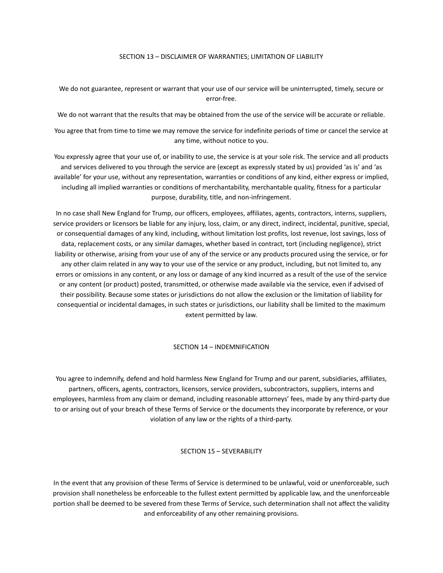#### SECTION 13 – DISCLAIMER OF WARRANTIES; LIMITATION OF LIABILITY

# We do not guarantee, represent or warrant that your use of our service will be uninterrupted, timely, secure or error-free.

We do not warrant that the results that may be obtained from the use of the service will be accurate or reliable.

You agree that from time to time we may remove the service for indefinite periods of time or cancel the service at any time, without notice to you.

You expressly agree that your use of, or inability to use, the service is at your sole risk. The service and all products and services delivered to you through the service are (except as expressly stated by us) provided 'as is' and 'as available' for your use, without any representation, warranties or conditions of any kind, either express or implied, including all implied warranties or conditions of merchantability, merchantable quality, fitness for a particular purpose, durability, title, and non-infringement.

In no case shall New England for Trump, our officers, employees, affiliates, agents, contractors, interns, suppliers, service providers or licensors be liable for any injury, loss, claim, or any direct, indirect, incidental, punitive, special, or consequential damages of any kind, including, without limitation lost profits, lost revenue, lost savings, loss of data, replacement costs, or any similar damages, whether based in contract, tort (including negligence), strict liability or otherwise, arising from your use of any of the service or any products procured using the service, or for any other claim related in any way to your use of the service or any product, including, but not limited to, any errors or omissions in any content, or any loss or damage of any kind incurred as a result of the use of the service or any content (or product) posted, transmitted, or otherwise made available via the service, even if advised of their possibility. Because some states or jurisdictions do not allow the exclusion or the limitation of liability for consequential or incidental damages, in such states or jurisdictions, our liability shall be limited to the maximum extent permitted by law.

## SECTION 14 – INDEMNIFICATION

You agree to indemnify, defend and hold harmless New England for Trump and our parent, subsidiaries, affiliates, partners, officers, agents, contractors, licensors, service providers, subcontractors, suppliers, interns and employees, harmless from any claim or demand, including reasonable attorneys' fees, made by any third-party due to or arising out of your breach of these Terms of Service or the documents they incorporate by reference, or your violation of any law or the rights of a third-party.

#### SECTION 15 – SEVERABILITY

In the event that any provision of these Terms of Service is determined to be unlawful, void or unenforceable, such provision shall nonetheless be enforceable to the fullest extent permitted by applicable law, and the unenforceable portion shall be deemed to be severed from these Terms of Service, such determination shall not affect the validity and enforceability of any other remaining provisions.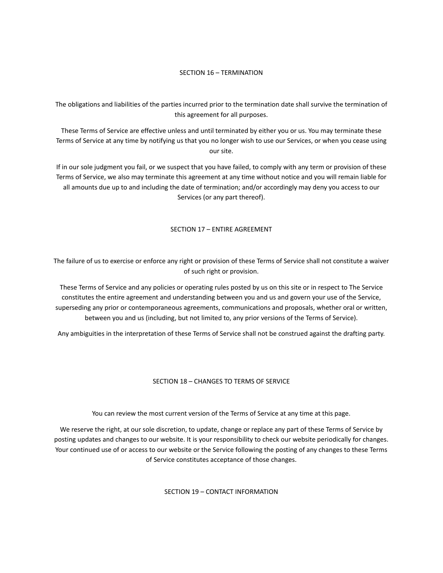## SECTION 16 – TERMINATION

The obligations and liabilities of the parties incurred prior to the termination date shall survive the termination of this agreement for all purposes.

These Terms of Service are effective unless and until terminated by either you or us. You may terminate these Terms of Service at any time by notifying us that you no longer wish to use our Services, or when you cease using our site.

If in our sole judgment you fail, or we suspect that you have failed, to comply with any term or provision of these Terms of Service, we also may terminate this agreement at any time without notice and you will remain liable for all amounts due up to and including the date of termination; and/or accordingly may deny you access to our Services (or any part thereof).

## SECTION 17 – ENTIRE AGREEMENT

The failure of us to exercise or enforce any right or provision of these Terms of Service shall not constitute a waiver of such right or provision.

These Terms of Service and any policies or operating rules posted by us on this site or in respect to The Service constitutes the entire agreement and understanding between you and us and govern your use of the Service, superseding any prior or contemporaneous agreements, communications and proposals, whether oral or written, between you and us (including, but not limited to, any prior versions of the Terms of Service).

Any ambiguities in the interpretation of these Terms of Service shall not be construed against the drafting party.

## SECTION 18 – CHANGES TO TERMS OF SERVICE

You can review the most current version of the Terms of Service at any time at this page.

We reserve the right, at our sole discretion, to update, change or replace any part of these Terms of Service by posting updates and changes to our website. It is your responsibility to check our website periodically for changes. Your continued use of or access to our website or the Service following the posting of any changes to these Terms of Service constitutes acceptance of those changes.

SECTION 19 – CONTACT INFORMATION